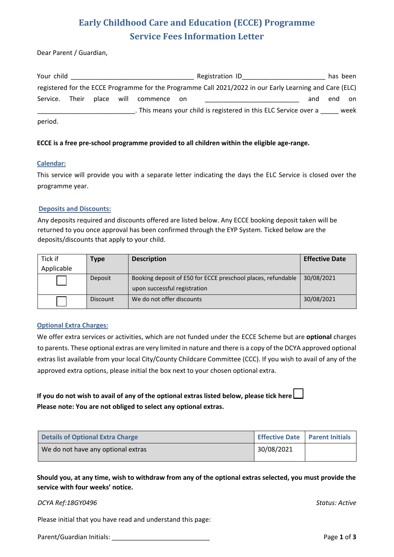# **Early Childhood Care and Education (ECCE) Programme Service Fees Information Letter**

Dear Parent / Guardian,

| Your child     |            |             | Registration ID                                                                                         |     |     | has been |
|----------------|------------|-------------|---------------------------------------------------------------------------------------------------------|-----|-----|----------|
|                |            |             | registered for the ECCE Programme for the Programme Call 2021/2022 in our Early Learning and Care (ELC) |     |     |          |
| Service. Their | place will | commence on |                                                                                                         | and | end | on       |
|                |            |             | . This means your child is registered in this ELC Service over a                                        |     |     | week     |
| period.        |            |             |                                                                                                         |     |     |          |

#### **ECCE is a free pre-school programme provided to all children within the eligible age-range.**

#### **Calendar:**

This service will provide you with a separate letter indicating the days the ELC Service is closed over the programme year.

#### **Deposits and Discounts:**

Any deposits required and discounts offered are listed below. Any ECCE booking deposit taken will be returned to you once approval has been confirmed through the EYP System. Ticked below are the deposits/discounts that apply to your child.

| Tick if    | Type            | <b>Description</b>                                           | <b>Effective Date</b> |
|------------|-----------------|--------------------------------------------------------------|-----------------------|
| Applicable |                 |                                                              |                       |
|            | Deposit         | Booking deposit of E50 for ECCE preschool places, refundable | 30/08/2021            |
|            |                 | upon successful registration                                 |                       |
|            | <b>Discount</b> | We do not offer discounts                                    | 30/08/2021            |

#### **Optional Extra Charges:**

We offer extra services or activities, which are not funded under the ECCE Scheme but are **optional** charges to parents. These optional extras are very limited in nature and there is a copy of the DCYA approved optional extras list available from your local City/County Childcare Committee (CCC). If you wish to avail of any of the approved extra options, please initial the box next to your chosen optional extra.

## **If you do not wish to avail of any of the optional extras listed below, please tick here Please note: You are not obliged to select any optional extras.**

| Details of Optional Extra Charge   | Effective Date   Parent Initials |  |
|------------------------------------|----------------------------------|--|
| We do not have any optional extras | 30/08/2021                       |  |

**Should you, at any time, wish to withdraw from any of the optional extras selected, you must provide the service with four weeks' notice.**

#### *DCYA Ref:18GY0496 Status: Active*

Please initial that you have read and understand this page:

Parent/Guardian Initials: \_\_\_\_\_\_\_\_\_\_\_\_\_\_\_\_\_\_\_\_\_\_\_\_\_\_\_ Page **1** of **3**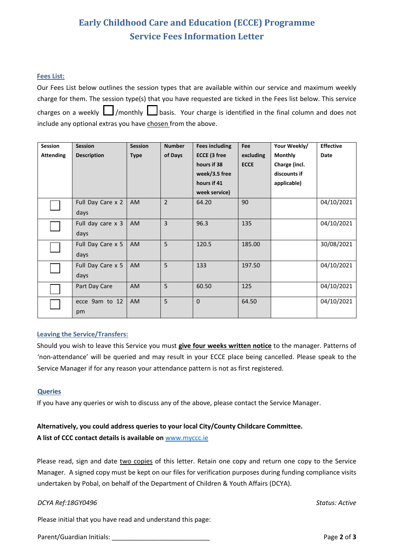# **Early Childhood Care and Education (ECCE) Programme Service Fees Information Letter**

#### **Fees List:**

Our Fees List below outlines the session types that are available within our service and maximum weekly charge for them. The session type(s) that you have requested are ticked in the Fees list below. This service charges on a weekly  $\Box$ /monthly  $\Box$ basis. Your charge is identified in the final column and does not include any optional extras you have chosen from the above.

| <b>Session</b>                         | <b>Session</b>    | <b>Session</b> | <b>Number</b>  | <b>Fees including</b> | Fee         | Your Weekly/   | <b>Effective</b> |
|----------------------------------------|-------------------|----------------|----------------|-----------------------|-------------|----------------|------------------|
| <b>Attending</b><br><b>Description</b> |                   | <b>Type</b>    | of Days        | <b>ECCE (3 free</b>   | excluding   | <b>Monthly</b> | Date             |
|                                        |                   |                |                | hours if 38           | <b>ECCE</b> | Charge (incl.  |                  |
|                                        |                   |                |                | week/3.5 free         |             | discounts if   |                  |
|                                        |                   |                |                | hours if 41           |             | applicable)    |                  |
|                                        |                   |                |                | week service)         |             |                |                  |
|                                        | Full Day Care x 2 | <b>AM</b>      | $\overline{2}$ | 64.20                 | 90          |                | 04/10/2021       |
|                                        | days              |                |                |                       |             |                |                  |
|                                        | Full day care x 3 | AM             | 3              | 96.3                  | 135         |                | 04/10/2021       |
|                                        | days              |                |                |                       |             |                |                  |
|                                        | Full Day Care x 5 | AM             | 5              | 120.5                 | 185.00      |                | 30/08/2021       |
|                                        | days              |                |                |                       |             |                |                  |
|                                        | Full Day Care x 5 | AM             | 5              | 133                   | 197.50      |                | 04/10/2021       |
|                                        | days              |                |                |                       |             |                |                  |
|                                        | Part Day Care     | AM             | 5              | 60.50                 | 125         |                | 04/10/2021       |
|                                        | ecce 9am to 12    | AM             | 5              | $\mathbf{0}$          | 64.50       |                | 04/10/2021       |
|                                        | pm                |                |                |                       |             |                |                  |
|                                        |                   |                |                |                       |             |                |                  |

#### **Leaving the Service/Transfers:**

Should you wish to leave this Service you must **give four weeks written notice** to the manager. Patterns of 'non-attendance' will be queried and may result in your ECCE place being cancelled. Please speak to the Service Manager if for any reason your attendance pattern is not as first registered.

#### **Queries**

If you have any queries or wish to discuss any of the above, please contact the Service Manager.

# **Alternatively, you could address queries to your local City/County Childcare Committee.**

### **A list of CCC contact details is available on** www.myccc.ie

Please read, sign and date two copies of this letter. Retain one copy and return one copy to the Service Manager. A signed copy must be kept on our files for verification purposes during funding compliance visits undertaken by Pobal, on behalf of the Department of Children & Youth Affairs (DCYA).

#### *DCYA Ref:18GY0496 Status: Active*

Please initial that you have read and understand this page:

Parent/Guardian Initials: **Parent/Guardian Initials: Page 2** of **3**